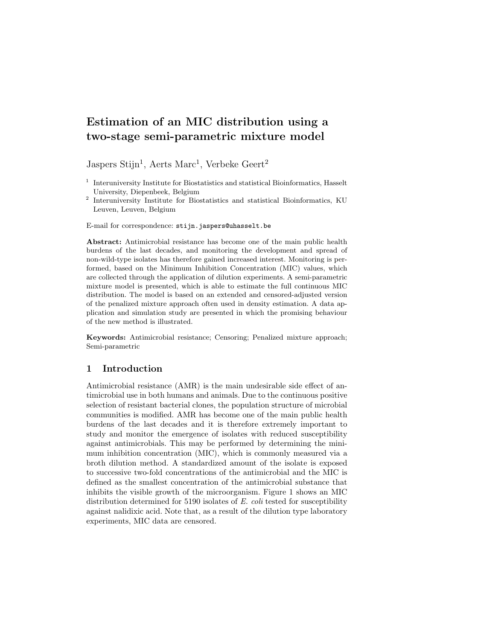# Estimation of an MIC distribution using a two-stage semi-parametric mixture model

Jaspers Stijn<sup>1</sup>, Aerts Marc<sup>1</sup>, Verbeke Geert<sup>2</sup>

2 Interuniversity Institute for Biostatistics and statistical Bioinformatics, KU Leuven, Leuven, Belgium

E-mail for correspondence: stijn.jaspers@uhasselt.be

Abstract: Antimicrobial resistance has become one of the main public health burdens of the last decades, and monitoring the development and spread of non-wild-type isolates has therefore gained increased interest. Monitoring is performed, based on the Minimum Inhibition Concentration (MIC) values, which are collected through the application of dilution experiments. A semi-parametric mixture model is presented, which is able to estimate the full continuous MIC distribution. The model is based on an extended and censored-adjusted version of the penalized mixture approach often used in density estimation. A data application and simulation study are presented in which the promising behaviour of the new method is illustrated.

Keywords: Antimicrobial resistance; Censoring; Penalized mixture approach; Semi-parametric

## 1 Introduction

Antimicrobial resistance (AMR) is the main undesirable side effect of antimicrobial use in both humans and animals. Due to the continuous positive selection of resistant bacterial clones, the population structure of microbial communities is modified. AMR has become one of the main public health burdens of the last decades and it is therefore extremely important to study and monitor the emergence of isolates with reduced susceptibility against antimicrobials. This may be performed by determining the minimum inhibition concentration (MIC), which is commonly measured via a broth dilution method. A standardized amount of the isolate is exposed to successive two-fold concentrations of the antimicrobial and the MIC is defined as the smallest concentration of the antimicrobial substance that inhibits the visible growth of the microorganism. Figure 1 shows an MIC distribution determined for 5190 isolates of E. coli tested for susceptibility against nalidixic acid. Note that, as a result of the dilution type laboratory experiments, MIC data are censored.

<sup>&</sup>lt;sup>1</sup> Interuniversity Institute for Biostatistics and statistical Bioinformatics, Hasselt University, Diepenbeek, Belgium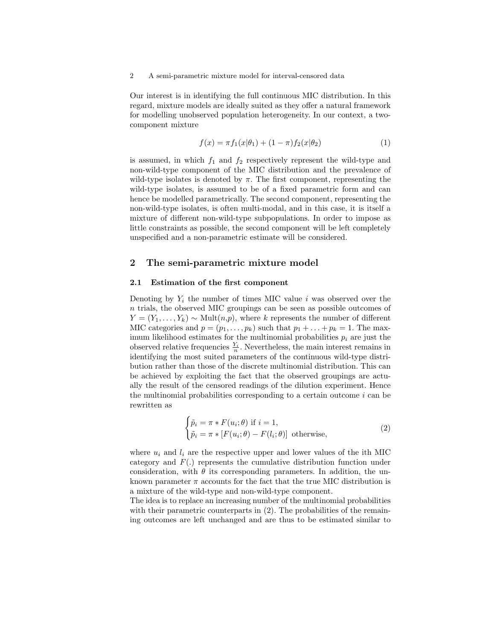2 A semi-parametric mixture model for interval-censored data

Our interest is in identifying the full continuous MIC distribution. In this regard, mixture models are ideally suited as they offer a natural framework for modelling unobserved population heterogeneity. In our context, a twocomponent mixture

$$
f(x) = \pi f_1(x|\theta_1) + (1 - \pi)f_2(x|\theta_2)
$$
 (1)

is assumed, in which  $f_1$  and  $f_2$  respectively represent the wild-type and non-wild-type component of the MIC distribution and the prevalence of wild-type isolates is denoted by  $\pi$ . The first component, representing the wild-type isolates, is assumed to be of a fixed parametric form and can hence be modelled parametrically. The second component, representing the non-wild-type isolates, is often multi-modal, and in this case, it is itself a mixture of different non-wild-type subpopulations. In order to impose as little constraints as possible, the second component will be left completely unspecified and a non-parametric estimate will be considered.

## 2 The semi-parametric mixture model

#### 2.1 Estimation of the first component

Denoting by  $Y_i$  the number of times MIC value i was observed over the n trials, the observed MIC groupings can be seen as possible outcomes of  $Y = (Y_1, \ldots, Y_k) \sim \text{Mult}(n, p)$ , where k represents the number of different MIC categories and  $p = (p_1, \ldots, p_k)$  such that  $p_1 + \ldots + p_k = 1$ . The maximum likelihood estimates for the multinomial probabilities  $p_i$  are just the observed relative frequencies  $\frac{Y_i}{n}$ . Nevertheless, the main interest remains in identifying the most suited parameters of the continuous wild-type distribution rather than those of the discrete multinomial distribution. This can be achieved by exploiting the fact that the observed groupings are actually the result of the censored readings of the dilution experiment. Hence the multinomial probabilities corresponding to a certain outcome  $i$  can be rewritten as

$$
\begin{cases} \tilde{p}_i = \pi * F(u_i; \theta) \text{ if } i = 1, \\ \tilde{p}_i = \pi * [F(u_i; \theta) - F(l_i; \theta)] \text{ otherwise,} \end{cases}
$$
 (2)

where  $u_i$  and  $l_i$  are the respective upper and lower values of the ith MIC category and  $F(.)$  represents the cumulative distribution function under consideration, with  $\theta$  its corresponding parameters. In addition, the unknown parameter  $\pi$  accounts for the fact that the true MIC distribution is a mixture of the wild-type and non-wild-type component.

The idea is to replace an increasing number of the multinomial probabilities with their parametric counterparts in  $(2)$ . The probabilities of the remaining outcomes are left unchanged and are thus to be estimated similar to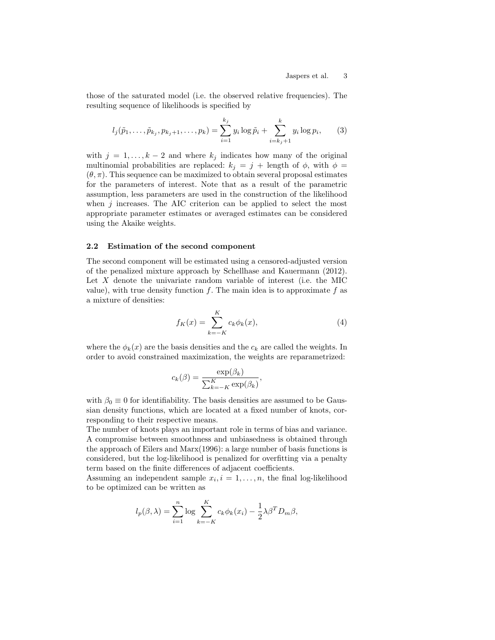those of the saturated model (i.e. the observed relative frequencies). The resulting sequence of likelihoods is specified by

$$
l_j(\tilde{p}_1,\ldots,\tilde{p}_{k_j},p_{k_j+1},\ldots,p_k) = \sum_{i=1}^{k_j} y_i \log \tilde{p}_i + \sum_{i=k_j+1}^k y_i \log p_i, \qquad (3)
$$

with  $j = 1, ..., k - 2$  and where  $k_j$  indicates how many of the original multinomial probabilities are replaced:  $k_j = j + \text{length of } \phi$ , with  $\phi =$  $(\theta, \pi)$ . This sequence can be maximized to obtain several proposal estimates for the parameters of interest. Note that as a result of the parametric assumption, less parameters are used in the construction of the likelihood when  $j$  increases. The AIC criterion can be applied to select the most appropriate parameter estimates or averaged estimates can be considered using the Akaike weights.

#### 2.2 Estimation of the second component

The second component will be estimated using a censored-adjusted version of the penalized mixture approach by Schellhase and Kauermann (2012). Let  $X$  denote the univariate random variable of interest (i.e. the MIC value), with true density function f. The main idea is to approximate f as a mixture of densities:

$$
f_K(x) = \sum_{k=-K}^{K} c_k \phi_k(x),
$$
 (4)

where the  $\phi_k(x)$  are the basis densities and the  $c_k$  are called the weights. In order to avoid constrained maximization, the weights are reparametrized:

$$
c_k(\beta) = \frac{\exp(\beta_k)}{\sum_{k=-K}^{K} \exp(\beta_k)},
$$

with  $\beta_0 \equiv 0$  for identifiability. The basis densities are assumed to be Gaussian density functions, which are located at a fixed number of knots, corresponding to their respective means.

The number of knots plays an important role in terms of bias and variance. A compromise between smoothness and unbiasedness is obtained through the approach of Eilers and Marx(1996): a large number of basis functions is considered, but the log-likelihood is penalized for overfitting via a penalty term based on the finite differences of adjacent coefficients.

Assuming an independent sample  $x_i, i = 1, \ldots, n$ , the final log-likelihood to be optimized can be written as

$$
l_p(\beta,\lambda) = \sum_{i=1}^n \log \sum_{k=-K}^K c_k \phi_k(x_i) - \frac{1}{2} \lambda \beta^T D_m \beta,
$$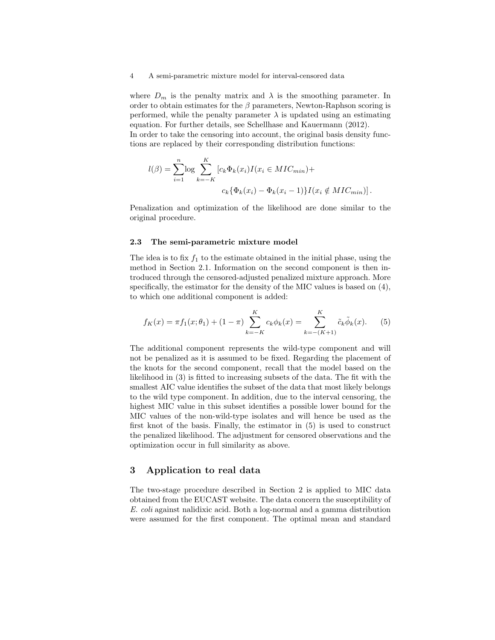#### 4 A semi-parametric mixture model for interval-censored data

where  $D_m$  is the penalty matrix and  $\lambda$  is the smoothing parameter. In order to obtain estimates for the  $\beta$  parameters, Newton-Raphson scoring is performed, while the penalty parameter  $\lambda$  is updated using an estimating equation. For further details, see Schellhase and Kauermann (2012). In order to take the censoring into account, the original basis density functions are replaced by their corresponding distribution functions:

$$
l(\beta) = \sum_{i=1}^{n} \log \sum_{k=-K}^{K} [c_k \Phi_k(x_i) I(x_i \in MIC_{min}) +
$$
  

$$
c_k \{ \Phi_k(x_i) - \Phi_k(x_i - 1) \} I(x_i \notin MIC_{min}) ].
$$

Penalization and optimization of the likelihood are done similar to the original procedure.

#### 2.3 The semi-parametric mixture model

The idea is to fix  $f_1$  to the estimate obtained in the initial phase, using the method in Section 2.1. Information on the second component is then introduced through the censored-adjusted penalized mixture approach. More specifically, the estimator for the density of the MIC values is based on (4), to which one additional component is added:

$$
f_K(x) = \pi f_1(x; \theta_1) + (1 - \pi) \sum_{k=-K}^{K} c_k \phi_k(x) = \sum_{k=-(K+1)}^{K} \tilde{c}_k \tilde{\phi}_k(x).
$$
 (5)

The additional component represents the wild-type component and will not be penalized as it is assumed to be fixed. Regarding the placement of the knots for the second component, recall that the model based on the likelihood in (3) is fitted to increasing subsets of the data. The fit with the smallest AIC value identifies the subset of the data that most likely belongs to the wild type component. In addition, due to the interval censoring, the highest MIC value in this subset identifies a possible lower bound for the MIC values of the non-wild-type isolates and will hence be used as the first knot of the basis. Finally, the estimator in (5) is used to construct the penalized likelihood. The adjustment for censored observations and the optimization occur in full similarity as above.

## 3 Application to real data

The two-stage procedure described in Section 2 is applied to MIC data obtained from the EUCAST website. The data concern the susceptibility of E. coli against nalidixic acid. Both a log-normal and a gamma distribution were assumed for the first component. The optimal mean and standard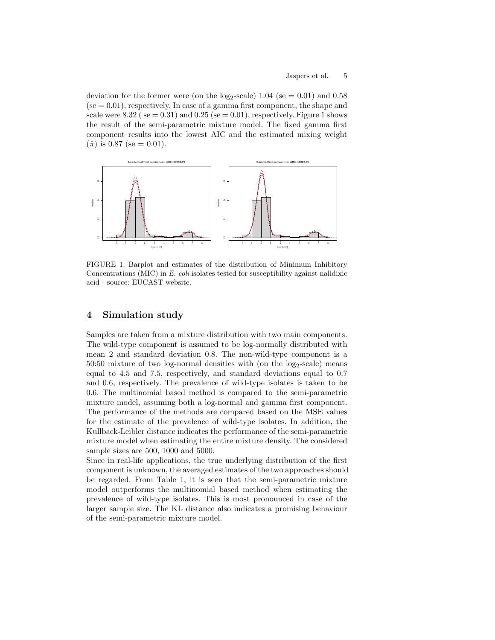deviation for the former were (on the  $log_2$ -scale) 1.04 (se = 0.01) and 0.58  $(se = 0.01)$ , respectively. In case of a gamma first component, the shape and scale were 8.32 ( $se = 0.31$ ) and  $0.25$  ( $se = 0.01$ ), respectively. Figure 1 shows the result of the semi-parametric mixture model. The fixed gamma first component results into the lowest AIC and the estimated mixing weight  $(\hat{\pi})$  is 0.87 (se = 0.01).



FIGURE 1. Barplot and estimates of the distribution of Minimum Inhibitory Concentrations (MIC) in E. coli isolates tested for susceptibility against nalidixic acid - source: EUCAST website.

## 4 Simulation study

Samples are taken from a mixture distribution with two main components. The wild-type component is assumed to be log-normally distributed with mean 2 and standard deviation 0.8. The non-wild-type component is a  $50:50$  mixture of two log-normal densities with (on the  $log_2$ -scale) means equal to 4.5 and 7.5, respectively, and standard deviations equal to 0.7 and 0.6, respectively. The prevalence of wild-type isolates is taken to be 0.6. The multinomial based method is compared to the semi-parametric mixture model, assuming both a log-normal and gamma first component. The performance of the methods are compared based on the MSE values for the estimate of the prevalence of wild-type isolates. In addition, the Kullback-Leibler distance indicates the performance of the semi-parametric mixture model when estimating the entire mixture density. The considered sample sizes are 500, 1000 and 5000.

Since in real-life applications, the true underlying distribution of the first component is unknown, the averaged estimates of the two approaches should be regarded. From Table 1, it is seen that the semi-parametric mixture model outperforms the multinomial based method when estimating the prevalence of wild-type isolates. This is most pronounced in case of the larger sample size. The KL distance also indicates a promising behaviour of the semi-parametric mixture model.